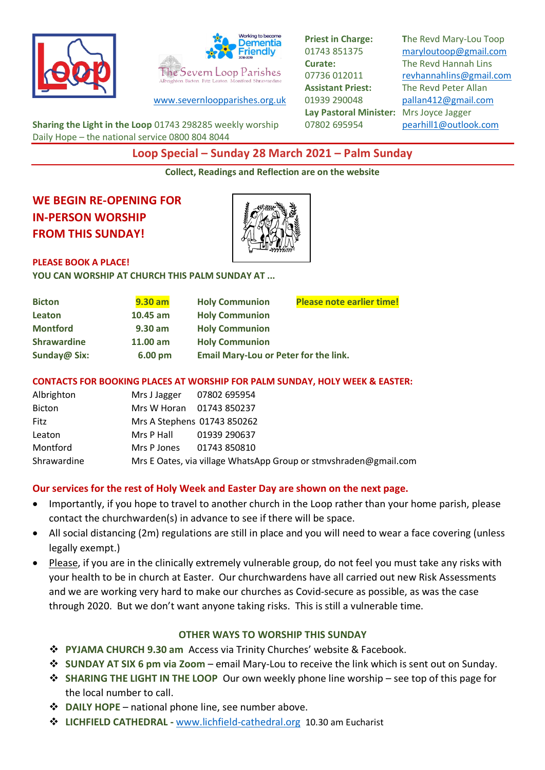



[www.severnloopparishes.org.uk](http://www.severnloopparishes.org.uk/) 01939 290048 [pallan412@gmail.com](mailto:pallan412@gmail.com)

**Sharing the Light in the Loop** 01743 298285 weekly worship 07802 695954 [pearhill1@outlook.com](mailto:pearhill1@outlook.com) Daily Hope – the national service 0800 804 8044

**Curate:** The Revd Hannah Lins **Assistant Priest:** The Revd Peter Allan **Lay Pastoral Minister:** Mrs Joyce Jagger

**Priest in Charge: T**he Revd Mary-Lou Toop 01743 851375 [maryloutoop@gmail.com](mailto:maryloutoop@gmail.com) 07736 012011 [revhannahlins@gmail.com](mailto:revhannahlins@gmail.com)

## **Loop Special – Sunday 28 March 2021 – Palm Sunday**

**Collect, Readings and Reflection are on the website**

# **WE BEGIN RE-OPENING FOR IN-PERSON WORSHIP FROM THIS SUNDAY!**



**PLEASE BOOK A PLACE!**

**YOU CAN WORSHIP AT CHURCH THIS PALM SUNDAY AT ...**

| <b>Bicton</b>      | $9.30$ am         | <b>Holy Communion</b>                        | <b>Please note earlier time!</b> |
|--------------------|-------------------|----------------------------------------------|----------------------------------|
| <b>Leaton</b>      | $10.45$ am        | <b>Holy Communion</b>                        |                                  |
| <b>Montford</b>    | $9.30$ am         | <b>Holy Communion</b>                        |                                  |
| <b>Shrawardine</b> | $11.00$ am        | <b>Holy Communion</b>                        |                                  |
| Sunday@ Six:       | $6.00 \text{ pm}$ | <b>Email Mary-Lou or Peter for the link.</b> |                                  |

### **CONTACTS FOR BOOKING PLACES AT WORSHIP FOR PALM SUNDAY, HOLY WEEK & EASTER:**

| Albrighton    |             | Mrs J Jagger 07802 695954                                        |
|---------------|-------------|------------------------------------------------------------------|
| <b>Bicton</b> |             | Mrs W Horan 01743 850237                                         |
| <b>Fitz</b>   |             | Mrs A Stephens 01743 850262                                      |
| Leaton        |             | Mrs P Hall 01939 290637                                          |
| Montford      | Mrs P Jones | 01743 850810                                                     |
| Shrawardine   |             | Mrs E Oates, via village WhatsApp Group or stmvshraden@gmail.com |

## **Our services for the rest of Holy Week and Easter Day are shown on the next page.**

- Importantly, if you hope to travel to another church in the Loop rather than your home parish, please contact the churchwarden(s) in advance to see if there will be space.
- All social distancing (2m) regulations are still in place and you will need to wear a face covering (unless legally exempt.)
- Please, if you are in the clinically extremely vulnerable group, do not feel you must take any risks with your health to be in church at Easter. Our churchwardens have all carried out new Risk Assessments and we are working very hard to make our churches as Covid-secure as possible, as was the case through 2020. But we don't want anyone taking risks. This is still a vulnerable time.

## **OTHER WAYS TO WORSHIP THIS SUNDAY**

- ❖ **PYJAMA CHURCH 9.30 am** Access via Trinity Churches' website & Facebook.
- ❖ **SUNDAY AT SIX 6 pm via Zoom** email Mary-Lou to receive the link which is sent out on Sunday.
- ❖ **SHARING THE LIGHT IN THE LOOP** Our own weekly phone line worship see top of this page for the local number to call.
- ❖ **DAILY HOPE** national phone line, see number above.
- ❖ **LICHFIELD CATHEDRAL -** [www.lichfield-cathedral.org](http://www.lichfield-cathedral.org/) 10.30 am Eucharist